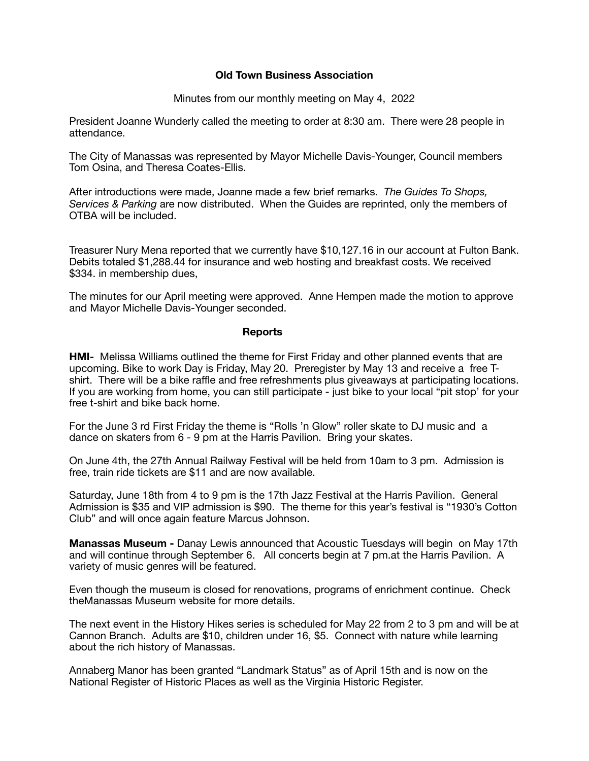## **Old Town Business Association**

Minutes from our monthly meeting on May 4, 2022

President Joanne Wunderly called the meeting to order at 8:30 am. There were 28 people in attendance.

The City of Manassas was represented by Mayor Michelle Davis-Younger, Council members Tom Osina, and Theresa Coates-Ellis.

After introductions were made, Joanne made a few brief remarks. *The Guides To Shops, Services & Parking* are now distributed. When the Guides are reprinted, only the members of OTBA will be included.

Treasurer Nury Mena reported that we currently have \$10,127.16 in our account at Fulton Bank. Debits totaled \$1,288.44 for insurance and web hosting and breakfast costs. We received \$334. in membership dues,

The minutes for our April meeting were approved. Anne Hempen made the motion to approve and Mayor Michelle Davis-Younger seconded.

#### **Reports**

**HMI-** Melissa Williams outlined the theme for First Friday and other planned events that are upcoming. Bike to work Day is Friday, May 20. Preregister by May 13 and receive a free Tshirt. There will be a bike raffle and free refreshments plus giveaways at participating locations. If you are working from home, you can still participate - just bike to your local "pit stop' for your free t-shirt and bike back home.

For the June 3 rd First Friday the theme is "Rolls 'n Glow" roller skate to DJ music and a dance on skaters from 6 - 9 pm at the Harris Pavilion. Bring your skates.

On June 4th, the 27th Annual Railway Festival will be held from 10am to 3 pm. Admission is free, train ride tickets are \$11 and are now available.

Saturday, June 18th from 4 to 9 pm is the 17th Jazz Festival at the Harris Pavilion. General Admission is \$35 and VIP admission is \$90. The theme for this year's festival is "1930's Cotton Club" and will once again feature Marcus Johnson.

**Manassas Museum -** Danay Lewis announced that Acoustic Tuesdays will begin on May 17th and will continue through September 6. All concerts begin at 7 pm.at the Harris Pavilion. A variety of music genres will be featured.

Even though the museum is closed for renovations, programs of enrichment continue. Check theManassas Museum website for more details.

The next event in the History Hikes series is scheduled for May 22 from 2 to 3 pm and will be at Cannon Branch. Adults are \$10, children under 16, \$5. Connect with nature while learning about the rich history of Manassas.

Annaberg Manor has been granted "Landmark Status" as of April 15th and is now on the National Register of Historic Places as well as the Virginia Historic Register.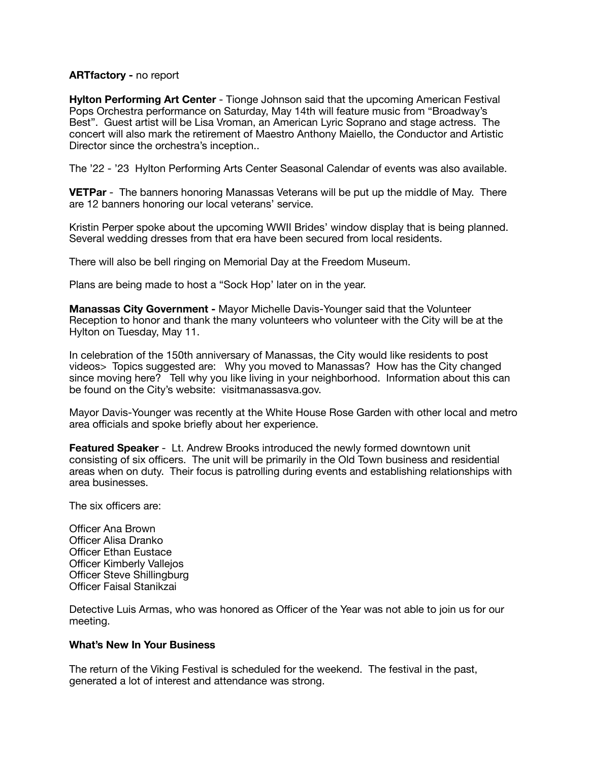# **ARTfactory -** no report

**Hylton Performing Art Center** - Tionge Johnson said that the upcoming American Festival Pops Orchestra performance on Saturday, May 14th will feature music from "Broadway's Best". Guest artist will be Lisa Vroman, an American Lyric Soprano and stage actress. The concert will also mark the retirement of Maestro Anthony Maiello, the Conductor and Artistic Director since the orchestra's inception..

The '22 - '23 Hylton Performing Arts Center Seasonal Calendar of events was also available.

**VETPar** - The banners honoring Manassas Veterans will be put up the middle of May. There are 12 banners honoring our local veterans' service.

Kristin Perper spoke about the upcoming WWII Brides' window display that is being planned. Several wedding dresses from that era have been secured from local residents.

There will also be bell ringing on Memorial Day at the Freedom Museum.

Plans are being made to host a "Sock Hop' later on in the year.

**Manassas City Government -** Mayor Michelle Davis-Younger said that the Volunteer Reception to honor and thank the many volunteers who volunteer with the City will be at the Hylton on Tuesday, May 11.

In celebration of the 150th anniversary of Manassas, the City would like residents to post videos> Topics suggested are: Why you moved to Manassas? How has the City changed since moving here? Tell why you like living in your neighborhood. Information about this can be found on the City's website: visitmanassasva.gov.

Mayor Davis-Younger was recently at the White House Rose Garden with other local and metro area officials and spoke briefly about her experience.

**Featured Speaker** - Lt. Andrew Brooks introduced the newly formed downtown unit consisting of six officers. The unit will be primarily in the Old Town business and residential areas when on duty. Their focus is patrolling during events and establishing relationships with area businesses.

The six officers are:

Officer Ana Brown Officer Alisa Dranko Officer Ethan Eustace Officer Kimberly Vallejos Officer Steve Shillingburg Officer Faisal Stanikzai

Detective Luis Armas, who was honored as Officer of the Year was not able to join us for our meeting.

## **What's New In Your Business**

The return of the Viking Festival is scheduled for the weekend. The festival in the past, generated a lot of interest and attendance was strong.